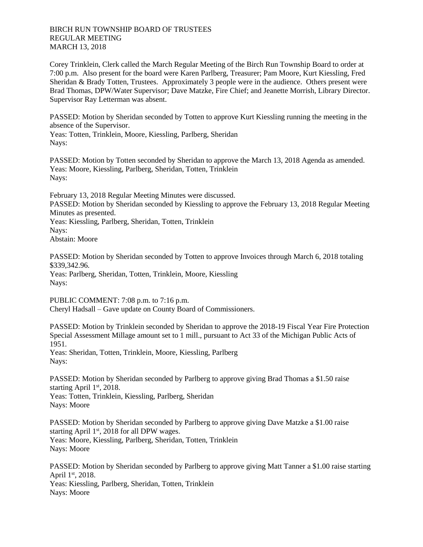## BIRCH RUN TOWNSHIP BOARD OF TRUSTEES REGULAR MEETING MARCH 13, 2018

Corey Trinklein, Clerk called the March Regular Meeting of the Birch Run Township Board to order at 7:00 p.m. Also present for the board were Karen Parlberg, Treasurer; Pam Moore, Kurt Kiessling, Fred Sheridan & Brady Totten, Trustees. Approximately 3 people were in the audience. Others present were Brad Thomas, DPW/Water Supervisor; Dave Matzke, Fire Chief; and Jeanette Morrish, Library Director. Supervisor Ray Letterman was absent.

PASSED: Motion by Sheridan seconded by Totten to approve Kurt Kiessling running the meeting in the absence of the Supervisor.

Yeas: Totten, Trinklein, Moore, Kiessling, Parlberg, Sheridan Nays:

PASSED: Motion by Totten seconded by Sheridan to approve the March 13, 2018 Agenda as amended. Yeas: Moore, Kiessling, Parlberg, Sheridan, Totten, Trinklein Nays:

February 13, 2018 Regular Meeting Minutes were discussed.

PASSED: Motion by Sheridan seconded by Kiessling to approve the February 13, 2018 Regular Meeting Minutes as presented.

Yeas: Kiessling, Parlberg, Sheridan, Totten, Trinklein Nays: Abstain: Moore

PASSED: Motion by Sheridan seconded by Totten to approve Invoices through March 6, 2018 totaling \$339,342.96.

Yeas: Parlberg, Sheridan, Totten, Trinklein, Moore, Kiessling Nays:

PUBLIC COMMENT: 7:08 p.m. to 7:16 p.m. Cheryl Hadsall – Gave update on County Board of Commissioners.

PASSED: Motion by Trinklein seconded by Sheridan to approve the 2018-19 Fiscal Year Fire Protection Special Assessment Millage amount set to 1 mill., pursuant to Act 33 of the Michigan Public Acts of 1951.

Yeas: Sheridan, Totten, Trinklein, Moore, Kiessling, Parlberg Nays:

PASSED: Motion by Sheridan seconded by Parlberg to approve giving Brad Thomas a \$1.50 raise starting April 1st, 2018.

Yeas: Totten, Trinklein, Kiessling, Parlberg, Sheridan Nays: Moore

PASSED: Motion by Sheridan seconded by Parlberg to approve giving Dave Matzke a \$1.00 raise starting April 1<sup>st</sup>, 2018 for all DPW wages. Yeas: Moore, Kiessling, Parlberg, Sheridan, Totten, Trinklein Nays: Moore

PASSED: Motion by Sheridan seconded by Parlberg to approve giving Matt Tanner a \$1.00 raise starting April 1st, 2018. Yeas: Kiessling, Parlberg, Sheridan, Totten, Trinklein Nays: Moore